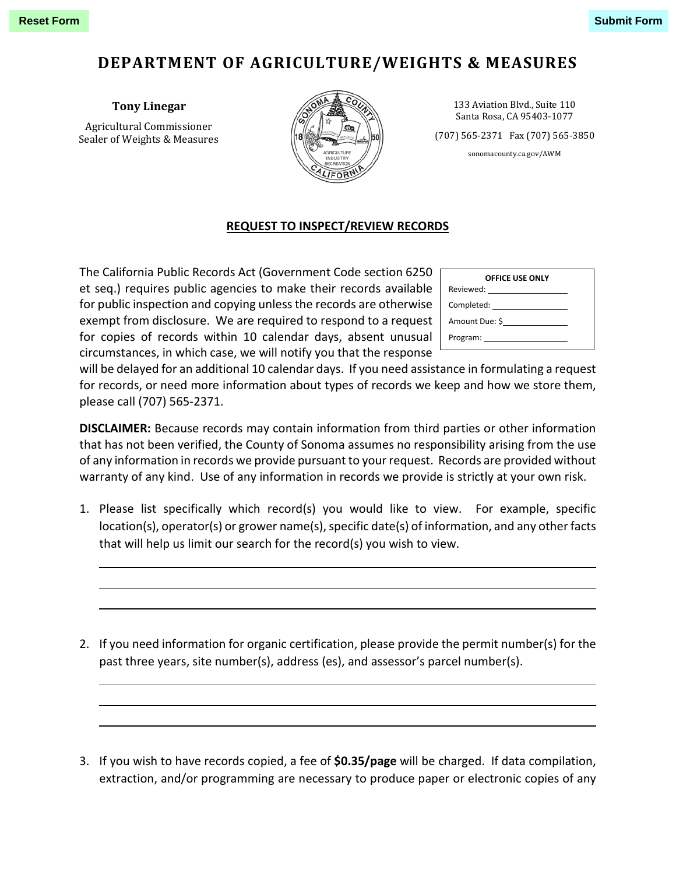## **DEPARTMENT OF AGRICULTURE/WEIGHTS & MEASURES**

**Tony Linegar**

Agricultural Commissioner Sealer of Weights & Measures



133 Aviation Blvd., Suite 110 Santa Rosa, CA 95403-1077

(707) 565-2371 Fax (707) 565-3850

sonomacounty.ca.gov/AWM

## **REQUEST TO INSPECT/REVIEW RECORDS**

The California Public Records Act (Government Code section 6250 et seq.) requires public agencies to make their records available for public inspection and copying unless the records are otherwise exempt from disclosure. We are required to respond to a request for copies of records within 10 calendar days, absent unusual circumstances, in which case, we will notify you that the response

| <b>OFFICE USE ONLY</b> |  |  |  |  |  |
|------------------------|--|--|--|--|--|
|                        |  |  |  |  |  |
| Completed:             |  |  |  |  |  |
| Amount Due: \$         |  |  |  |  |  |
|                        |  |  |  |  |  |

will be delayed for an additional 10 calendar days. If you need assistance in formulating a request for records, or need more information about types of records we keep and how we store them, please call (707) 565-2371.

**DISCLAIMER:** Because records may contain information from third parties or other information that has not been verified, the County of Sonoma assumes no responsibility arising from the use of any information in records we provide pursuant to your request. Records are provided without warranty of any kind. Use of any information in records we provide is strictly at your own risk.

- 1. Please list specifically which record(s) you would like to view. For example, specific location(s), operator(s) or grower name(s), specific date(s) of information, and any other facts that will help us limit our search for the record(s) you wish to view.
- 2. If you need information for organic certification, please provide the permit number(s) for the past three years, site number(s), address (es), and assessor's parcel number(s).
- 3. If you wish to have records copied, a fee of **\$0.35/page** will be charged. If data compilation, extraction, and/or programming are necessary to produce paper or electronic copies of any